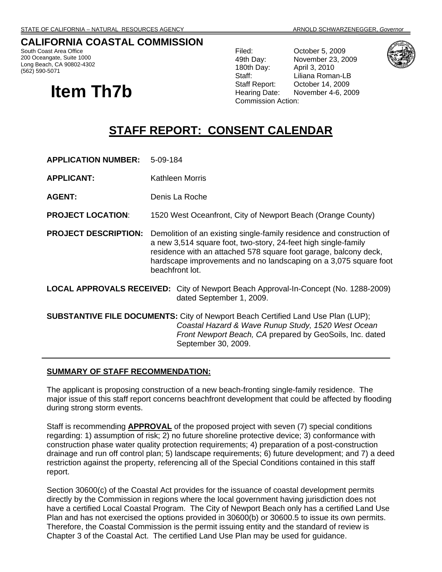# **CALIFORNIA COASTAL COMMISSION**

South Coast Area Office 200 Oceangate, Suite 1000 Long Beach, CA 90802-4302 (562) 590-5071

# **Item Th7b**

Filed: October 5, 2009 49th Day: November 23, 2009 180th Day: April 3, 2010 Staff: Liliana Roman-LB Staff Report: October 14, 2009 Hearing Date: November 4-6, 2009 Commission Action:



# **STAFF REPORT: CONSENT CALENDAR**

**APPLICATION NUMBER:** 5-09-184

**APPLICANT:** Kathleen Morris

**AGENT:** Denis La Roche

**PROJECT LOCATION**: 1520 West Oceanfront, City of Newport Beach (Orange County)

**PROJECT DESCRIPTION:** Demolition of an existing single-family residence and construction of a new 3,514 square foot, two-story, 24-feet high single-family residence with an attached 578 square foot garage, balcony deck, hardscape improvements and no landscaping on a 3,075 square foot beachfront lot.

**LOCAL APPROVALS RECEIVED:** City of Newport Beach Approval-In-Concept (No. 1288-2009) dated September 1, 2009.

**SUBSTANTIVE FILE DOCUMENTS:** City of Newport Beach Certified Land Use Plan (LUP); *Coastal Hazard & Wave Runup Study, 1520 West Ocean Front Newport Beach, CA* prepared by GeoSoils, Inc. dated September 30, 2009.

#### **SUMMARY OF STAFF RECOMMENDATION:**

The applicant is proposing construction of a new beach-fronting single-family residence. The major issue of this staff report concerns beachfront development that could be affected by flooding during strong storm events.

Staff is recommending **APPROVAL** of the proposed project with seven (7) special conditions regarding: 1) assumption of risk; 2) no future shoreline protective device; 3) conformance with construction phase water quality protection requirements; 4) preparation of a post-construction drainage and run off control plan; 5) landscape requirements; 6) future development; and 7) a deed restriction against the property, referencing all of the Special Conditions contained in this staff report.

Section 30600(c) of the Coastal Act provides for the issuance of coastal development permits directly by the Commission in regions where the local government having jurisdiction does not have a certified Local Coastal Program. The City of Newport Beach only has a certified Land Use Plan and has not exercised the options provided in 30600(b) or 30600.5 to issue its own permits. Therefore, the Coastal Commission is the permit issuing entity and the standard of review is Chapter 3 of the Coastal Act. The certified Land Use Plan may be used for guidance.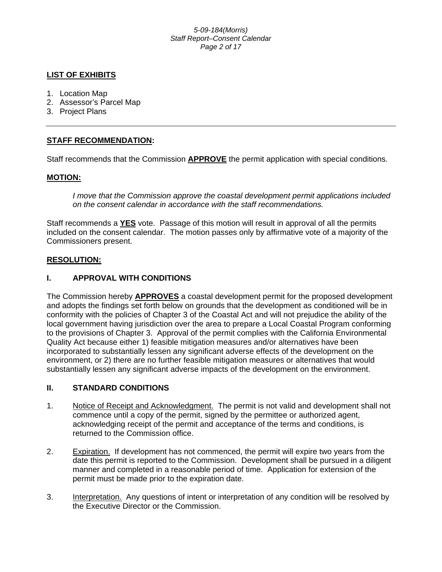#### *5-09-184(Morris) Staff Report–Consent Calendar Page 2 of 17*

# **LIST OF EXHIBITS**

- 1. Location Map
- 2. Assessor's Parcel Map
- 3. Project Plans

# **STAFF RECOMMENDATION:**

Staff recommends that the Commission **APPROVE** the permit application with special conditions.

#### **MOTION:**

*I move that the Commission approve the coastal development permit applications included on the consent calendar in accordance with the staff recommendations.*

Staff recommends a **YES** vote. Passage of this motion will result in approval of all the permits included on the consent calendar. The motion passes only by affirmative vote of a majority of the Commissioners present.

#### **RESOLUTION:**

# **I. APPROVAL WITH CONDITIONS**

The Commission hereby **APPROVES** a coastal development permit for the proposed development and adopts the findings set forth below on grounds that the development as conditioned will be in conformity with the policies of Chapter 3 of the Coastal Act and will not prejudice the ability of the local government having jurisdiction over the area to prepare a Local Coastal Program conforming to the provisions of Chapter 3. Approval of the permit complies with the California Environmental Quality Act because either 1) feasible mitigation measures and/or alternatives have been incorporated to substantially lessen any significant adverse effects of the development on the environment, or 2) there are no further feasible mitigation measures or alternatives that would substantially lessen any significant adverse impacts of the development on the environment.

#### **II. STANDARD CONDITIONS**

- 1. Notice of Receipt and Acknowledgment. The permit is not valid and development shall not commence until a copy of the permit, signed by the permittee or authorized agent, acknowledging receipt of the permit and acceptance of the terms and conditions, is returned to the Commission office.
- 2. Expiration. If development has not commenced, the permit will expire two years from the date this permit is reported to the Commission. Development shall be pursued in a diligent manner and completed in a reasonable period of time. Application for extension of the permit must be made prior to the expiration date.
- 3. Interpretation. Any questions of intent or interpretation of any condition will be resolved by the Executive Director or the Commission.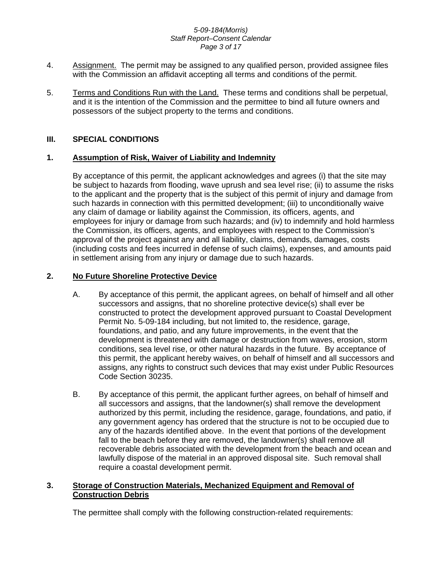#### *5-09-184(Morris) Staff Report–Consent Calendar Page 3 of 17*

- 4. Assignment. The permit may be assigned to any qualified person, provided assignee files with the Commission an affidavit accepting all terms and conditions of the permit.
- 5. Terms and Conditions Run with the Land. These terms and conditions shall be perpetual, and it is the intention of the Commission and the permittee to bind all future owners and possessors of the subject property to the terms and conditions.

# **III. SPECIAL CONDITIONS**

#### **1. Assumption of Risk, Waiver of Liability and Indemnity**

By acceptance of this permit, the applicant acknowledges and agrees (i) that the site may be subject to hazards from flooding, wave uprush and sea level rise; (ii) to assume the risks to the applicant and the property that is the subject of this permit of injury and damage from such hazards in connection with this permitted development; (iii) to unconditionally waive any claim of damage or liability against the Commission, its officers, agents, and employees for injury or damage from such hazards; and (iv) to indemnify and hold harmless the Commission, its officers, agents, and employees with respect to the Commission's approval of the project against any and all liability, claims, demands, damages, costs (including costs and fees incurred in defense of such claims), expenses, and amounts paid in settlement arising from any injury or damage due to such hazards.

# **2. No Future Shoreline Protective Device**

- A. By acceptance of this permit, the applicant agrees, on behalf of himself and all other successors and assigns, that no shoreline protective device(s) shall ever be constructed to protect the development approved pursuant to Coastal Development Permit No. 5-09-184 including, but not limited to, the residence, garage, foundations, and patio, and any future improvements, in the event that the development is threatened with damage or destruction from waves, erosion, storm conditions, sea level rise, or other natural hazards in the future. By acceptance of this permit, the applicant hereby waives, on behalf of himself and all successors and assigns, any rights to construct such devices that may exist under Public Resources Code Section 30235.
- B. By acceptance of this permit, the applicant further agrees, on behalf of himself and all successors and assigns, that the landowner(s) shall remove the development authorized by this permit, including the residence, garage, foundations, and patio, if any government agency has ordered that the structure is not to be occupied due to any of the hazards identified above. In the event that portions of the development fall to the beach before they are removed, the landowner(s) shall remove all recoverable debris associated with the development from the beach and ocean and lawfully dispose of the material in an approved disposal site. Such removal shall require a coastal development permit.

#### **3. Storage of Construction Materials, Mechanized Equipment and Removal of Construction Debris**

The permittee shall comply with the following construction-related requirements: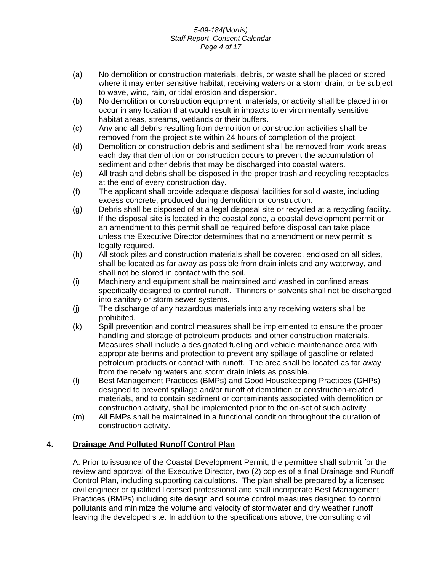#### *5-09-184(Morris) Staff Report–Consent Calendar Page 4 of 17*

- (a) No demolition or construction materials, debris, or waste shall be placed or stored where it may enter sensitive habitat, receiving waters or a storm drain, or be subject to wave, wind, rain, or tidal erosion and dispersion.
- (b) No demolition or construction equipment, materials, or activity shall be placed in or occur in any location that would result in impacts to environmentally sensitive habitat areas, streams, wetlands or their buffers.
- (c) Any and all debris resulting from demolition or construction activities shall be removed from the project site within 24 hours of completion of the project.
- (d) Demolition or construction debris and sediment shall be removed from work areas each day that demolition or construction occurs to prevent the accumulation of sediment and other debris that may be discharged into coastal waters.
- (e) All trash and debris shall be disposed in the proper trash and recycling receptacles at the end of every construction day.
- (f) The applicant shall provide adequate disposal facilities for solid waste, including excess concrete, produced during demolition or construction.
- (g) Debris shall be disposed of at a legal disposal site or recycled at a recycling facility. If the disposal site is located in the coastal zone, a coastal development permit or an amendment to this permit shall be required before disposal can take place unless the Executive Director determines that no amendment or new permit is legally required.
- (h) All stock piles and construction materials shall be covered, enclosed on all sides, shall be located as far away as possible from drain inlets and any waterway, and shall not be stored in contact with the soil.
- (i) Machinery and equipment shall be maintained and washed in confined areas specifically designed to control runoff. Thinners or solvents shall not be discharged into sanitary or storm sewer systems.
- (j) The discharge of any hazardous materials into any receiving waters shall be prohibited.
- (k) Spill prevention and control measures shall be implemented to ensure the proper handling and storage of petroleum products and other construction materials. Measures shall include a designated fueling and vehicle maintenance area with appropriate berms and protection to prevent any spillage of gasoline or related petroleum products or contact with runoff. The area shall be located as far away from the receiving waters and storm drain inlets as possible.
- (l) Best Management Practices (BMPs) and Good Housekeeping Practices (GHPs) designed to prevent spillage and/or runoff of demolition or construction-related materials, and to contain sediment or contaminants associated with demolition or construction activity, shall be implemented prior to the on-set of such activity
- (m) All BMPs shall be maintained in a functional condition throughout the duration of construction activity.

# **4. Drainage And Polluted Runoff Control Plan**

 A. Prior to issuance of the Coastal Development Permit, the permittee shall submit for the review and approval of the Executive Director, two (2) copies of a final Drainage and Runoff Control Plan, including supporting calculations. The plan shall be prepared by a licensed civil engineer or qualified licensed professional and shall incorporate Best Management Practices (BMPs) including site design and source control measures designed to control pollutants and minimize the volume and velocity of stormwater and dry weather runoff leaving the developed site. In addition to the specifications above, the consulting civil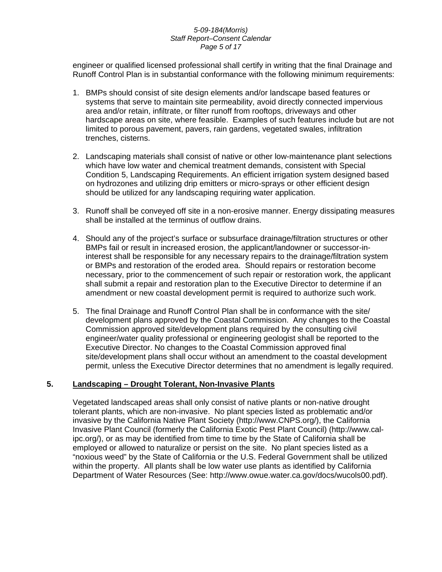#### *5-09-184(Morris) Staff Report–Consent Calendar Page 5 of 17*

engineer or qualified licensed professional shall certify in writing that the final Drainage and Runoff Control Plan is in substantial conformance with the following minimum requirements:

- 1. BMPs should consist of site design elements and/or landscape based features or systems that serve to maintain site permeability, avoid directly connected impervious area and/or retain, infiltrate, or filter runoff from rooftops, driveways and other hardscape areas on site, where feasible. Examples of such features include but are not limited to porous pavement, pavers, rain gardens, vegetated swales, infiltration trenches, cisterns.
- 2. Landscaping materials shall consist of native or other low-maintenance plant selections which have low water and chemical treatment demands, consistent with Special Condition 5, Landscaping Requirements. An efficient irrigation system designed based on hydrozones and utilizing drip emitters or micro-sprays or other efficient design should be utilized for any landscaping requiring water application.
- 3. Runoff shall be conveyed off site in a non-erosive manner. Energy dissipating measures shall be installed at the terminus of outflow drains.
- 4. Should any of the project's surface or subsurface drainage/filtration structures or other BMPs fail or result in increased erosion, the applicant/landowner or successor-ininterest shall be responsible for any necessary repairs to the drainage/filtration system or BMPs and restoration of the eroded area. Should repairs or restoration become necessary, prior to the commencement of such repair or restoration work, the applicant shall submit a repair and restoration plan to the Executive Director to determine if an amendment or new coastal development permit is required to authorize such work.
- 5. The final Drainage and Runoff Control Plan shall be in conformance with the site/ development plans approved by the Coastal Commission. Any changes to the Coastal Commission approved site/development plans required by the consulting civil engineer/water quality professional or engineering geologist shall be reported to the Executive Director. No changes to the Coastal Commission approved final site/development plans shall occur without an amendment to the coastal development permit, unless the Executive Director determines that no amendment is legally required.

#### **5. Landscaping – Drought Tolerant, Non-Invasive Plants**

Vegetated landscaped areas shall only consist of native plants or non-native drought tolerant plants, which are non-invasive. No plant species listed as problematic and/or invasive by the California Native Plant Society (http://www.CNPS.org/), the California Invasive Plant Council (formerly the California Exotic Pest Plant Council) (http://www.calipc.org/), or as may be identified from time to time by the State of California shall be employed or allowed to naturalize or persist on the site. No plant species listed as a "noxious weed" by the State of California or the U.S. Federal Government shall be utilized within the property. All plants shall be low water use plants as identified by California Department of Water Resources (See: http://www.owue.water.ca.gov/docs/wucols00.pdf).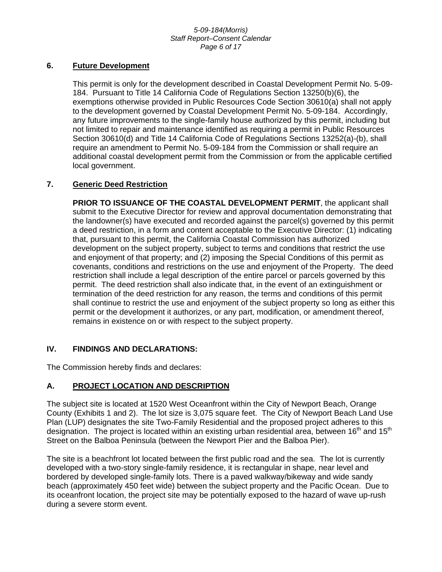#### *5-09-184(Morris) Staff Report–Consent Calendar Page 6 of 17*

#### **6. Future Development**

This permit is only for the development described in Coastal Development Permit No. 5-09- 184. Pursuant to Title 14 California Code of Regulations Section 13250(b)(6), the exemptions otherwise provided in Public Resources Code Section 30610(a) shall not apply to the development governed by Coastal Development Permit No. 5-09-184. Accordingly, any future improvements to the single-family house authorized by this permit, including but not limited to repair and maintenance identified as requiring a permit in Public Resources Section 30610(d) and Title 14 California Code of Regulations Sections 13252(a)-(b), shall require an amendment to Permit No. 5-09-184 from the Commission or shall require an additional coastal development permit from the Commission or from the applicable certified local government.

#### **7. Generic Deed Restriction**

**PRIOR TO ISSUANCE OF THE COASTAL DEVELOPMENT PERMIT, the applicant shall** submit to the Executive Director for review and approval documentation demonstrating that the landowner(s) have executed and recorded against the parcel(s) governed by this permit a deed restriction, in a form and content acceptable to the Executive Director: (1) indicating that, pursuant to this permit, the California Coastal Commission has authorized development on the subject property, subject to terms and conditions that restrict the use and enjoyment of that property; and (2) imposing the Special Conditions of this permit as covenants, conditions and restrictions on the use and enjoyment of the Property. The deed restriction shall include a legal description of the entire parcel or parcels governed by this permit. The deed restriction shall also indicate that, in the event of an extinguishment or termination of the deed restriction for any reason, the terms and conditions of this permit shall continue to restrict the use and enjoyment of the subject property so long as either this permit or the development it authorizes, or any part, modification, or amendment thereof, remains in existence on or with respect to the subject property.

#### **IV. FINDINGS AND DECLARATIONS:**

The Commission hereby finds and declares:

#### **A. PROJECT LOCATION AND DESCRIPTION**

The subject site is located at 1520 West Oceanfront within the City of Newport Beach, Orange County (Exhibits 1 and 2). The lot size is 3,075 square feet. The City of Newport Beach Land Use Plan (LUP) designates the site Two-Family Residential and the proposed project adheres to this designation. The project is located within an existing urban residential area, between  $16<sup>th</sup>$  and  $15<sup>th</sup>$ Street on the Balboa Peninsula (between the Newport Pier and the Balboa Pier).

The site is a beachfront lot located between the first public road and the sea. The lot is currently developed with a two-story single-family residence, it is rectangular in shape, near level and bordered by developed single-family lots. There is a paved walkway/bikeway and wide sandy beach (approximately 450 feet wide) between the subject property and the Pacific Ocean. Due to its oceanfront location, the project site may be potentially exposed to the hazard of wave up-rush during a severe storm event.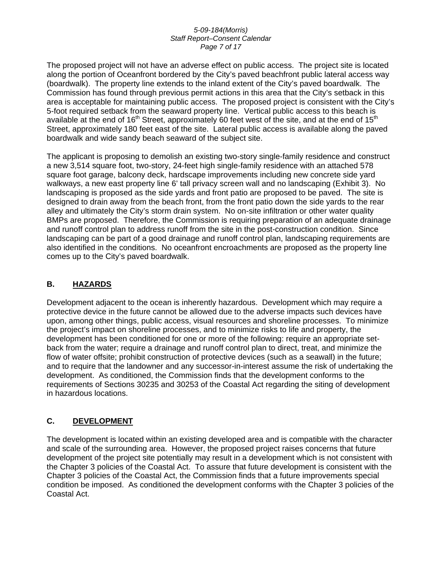#### *5-09-184(Morris) Staff Report–Consent Calendar Page 7 of 17*

The proposed project will not have an adverse effect on public access. The project site is located along the portion of Oceanfront bordered by the City's paved beachfront public lateral access way (boardwalk). The property line extends to the inland extent of the City's paved boardwalk. The Commission has found through previous permit actions in this area that the City's setback in this area is acceptable for maintaining public access. The proposed project is consistent with the City's 5-foot required setback from the seaward property line. Vertical public access to this beach is available at the end of 16<sup>th</sup> Street, approximately 60 feet west of the site, and at the end of 15<sup>th</sup> Street, approximately 180 feet east of the site. Lateral public access is available along the paved boardwalk and wide sandy beach seaward of the subject site.

The applicant is proposing to demolish an existing two-story single-family residence and construct a new 3,514 square foot, two-story, 24-feet high single-family residence with an attached 578 square foot garage, balcony deck, hardscape improvements including new concrete side yard walkways, a new east property line 6' tall privacy screen wall and no landscaping (Exhibit 3). No landscaping is proposed as the side yards and front patio are proposed to be paved. The site is designed to drain away from the beach front, from the front patio down the side yards to the rear alley and ultimately the City's storm drain system. No on-site infiltration or other water quality BMPs are proposed. Therefore, the Commission is requiring preparation of an adequate drainage and runoff control plan to address runoff from the site in the post-construction condition. Since landscaping can be part of a good drainage and runoff control plan, landscaping requirements are also identified in the conditions. No oceanfront encroachments are proposed as the property line comes up to the City's paved boardwalk.

# **B. HAZARDS**

Development adjacent to the ocean is inherently hazardous. Development which may require a protective device in the future cannot be allowed due to the adverse impacts such devices have upon, among other things, public access, visual resources and shoreline processes. To minimize the project's impact on shoreline processes, and to minimize risks to life and property, the development has been conditioned for one or more of the following: require an appropriate setback from the water; require a drainage and runoff control plan to direct, treat, and minimize the flow of water offsite; prohibit construction of protective devices (such as a seawall) in the future; and to require that the landowner and any successor-in-interest assume the risk of undertaking the development. As conditioned, the Commission finds that the development conforms to the requirements of Sections 30235 and 30253 of the Coastal Act regarding the siting of development in hazardous locations.

# **C. DEVELOPMENT**

The development is located within an existing developed area and is compatible with the character and scale of the surrounding area. However, the proposed project raises concerns that future development of the project site potentially may result in a development which is not consistent with the Chapter 3 policies of the Coastal Act. To assure that future development is consistent with the Chapter 3 policies of the Coastal Act, the Commission finds that a future improvements special condition be imposed. As conditioned the development conforms with the Chapter 3 policies of the Coastal Act.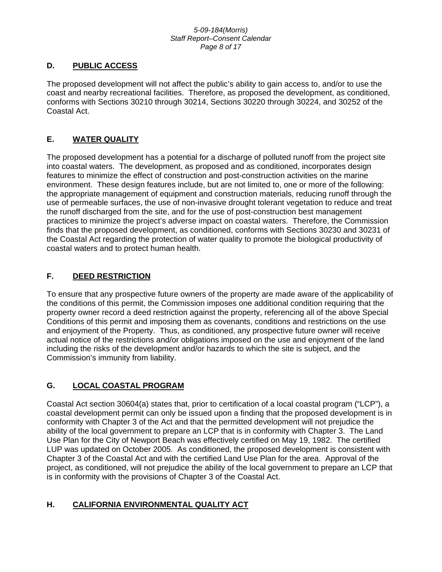#### *5-09-184(Morris) Staff Report–Consent Calendar Page 8 of 17*

# **D. PUBLIC ACCESS**

The proposed development will not affect the public's ability to gain access to, and/or to use the coast and nearby recreational facilities. Therefore, as proposed the development, as conditioned, conforms with Sections 30210 through 30214, Sections 30220 through 30224, and 30252 of the Coastal Act.

# **E. WATER QUALITY**

The proposed development has a potential for a discharge of polluted runoff from the project site into coastal waters. The development, as proposed and as conditioned, incorporates design features to minimize the effect of construction and post-construction activities on the marine environment. These design features include, but are not limited to, one or more of the following: the appropriate management of equipment and construction materials, reducing runoff through the use of permeable surfaces, the use of non-invasive drought tolerant vegetation to reduce and treat the runoff discharged from the site, and for the use of post-construction best management practices to minimize the project's adverse impact on coastal waters. Therefore, the Commission finds that the proposed development, as conditioned, conforms with Sections 30230 and 30231 of the Coastal Act regarding the protection of water quality to promote the biological productivity of coastal waters and to protect human health.

# **F. DEED RESTRICTION**

To ensure that any prospective future owners of the property are made aware of the applicability of the conditions of this permit, the Commission imposes one additional condition requiring that the property owner record a deed restriction against the property, referencing all of the above Special Conditions of this permit and imposing them as covenants, conditions and restrictions on the use and enjoyment of the Property. Thus, as conditioned, any prospective future owner will receive actual notice of the restrictions and/or obligations imposed on the use and enjoyment of the land including the risks of the development and/or hazards to which the site is subject, and the Commission's immunity from liability.

# **G. LOCAL COASTAL PROGRAM**

Coastal Act section 30604(a) states that, prior to certification of a local coastal program ("LCP"), a coastal development permit can only be issued upon a finding that the proposed development is in conformity with Chapter 3 of the Act and that the permitted development will not prejudice the ability of the local government to prepare an LCP that is in conformity with Chapter 3. The Land Use Plan for the City of Newport Beach was effectively certified on May 19, 1982. The certified LUP was updated on October 2005. As conditioned, the proposed development is consistent with Chapter 3 of the Coastal Act and with the certified Land Use Plan for the area. Approval of the project, as conditioned, will not prejudice the ability of the local government to prepare an LCP that is in conformity with the provisions of Chapter 3 of the Coastal Act.

# **H. CALIFORNIA ENVIRONMENTAL QUALITY ACT**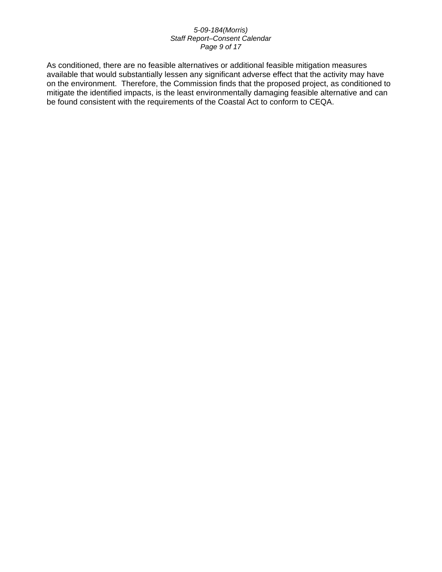#### *5-09-184(Morris) Staff Report–Consent Calendar Page 9 of 17*

As conditioned, there are no feasible alternatives or additional feasible mitigation measures available that would substantially lessen any significant adverse effect that the activity may have on the environment. Therefore, the Commission finds that the proposed project, as conditioned to mitigate the identified impacts, is the least environmentally damaging feasible alternative and can be found consistent with the requirements of the Coastal Act to conform to CEQA.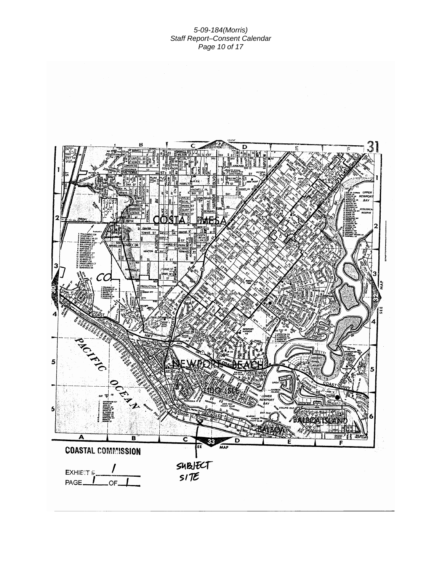#### *5-09-184(Morris) Staff Report–Consent Calendar Page 10 of 17*

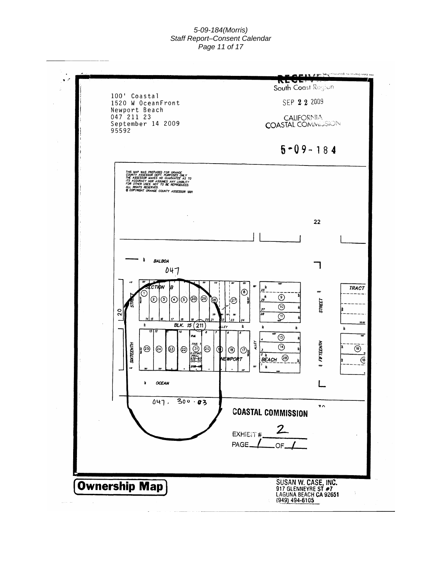#### *5-09-184(Morris) Staff Report–Consent Calendar Page 11 of 17*

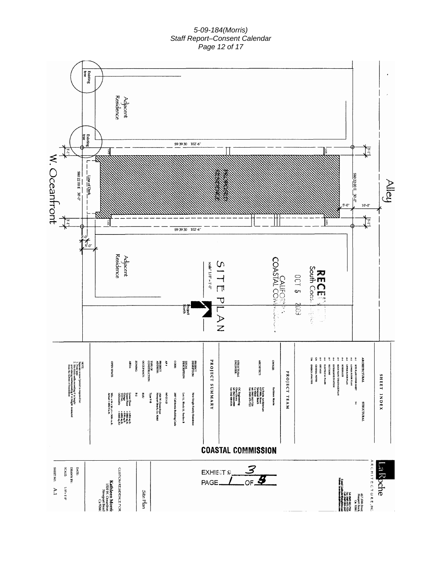#### *5-09-184(Morris) Staff Report–Consent Calendar Page 12 of 17*

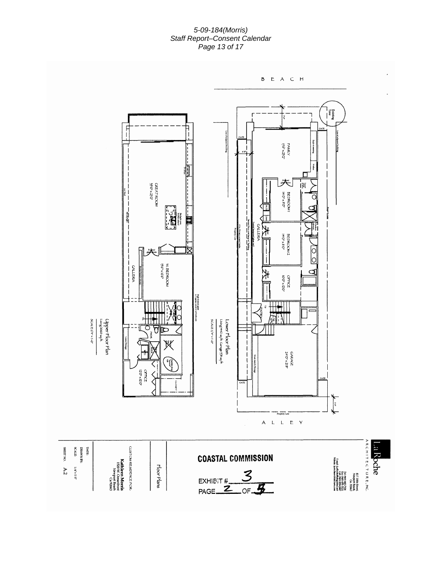#### *5-09-184(Morris) Staff Report–Consent Calendar Page 13 of 17*

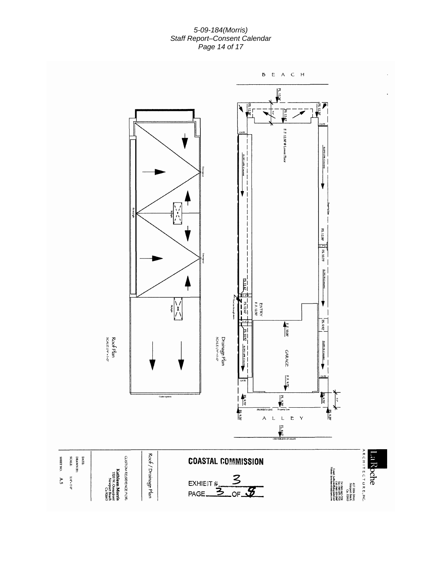*5-09-184(Morris) Staff Report–Consent Calendar Page 14 of 17* 

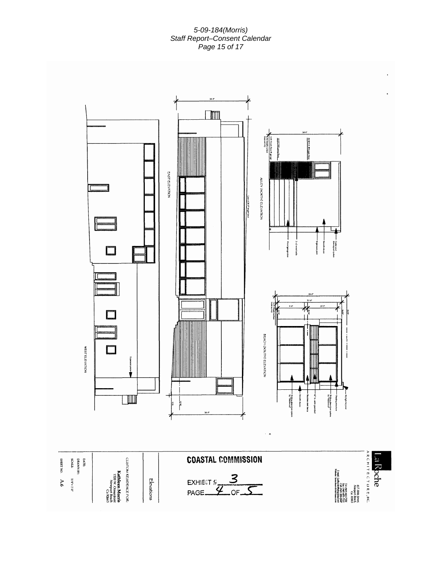#### *5-09-184(Morris) Staff Report–Consent Calendar Page 15 of 17*

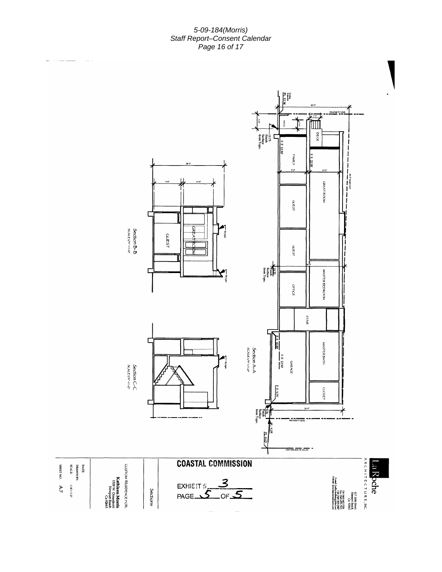*5-09-184(Morris) Staff Report–Consent Calendar Page 16 of 17*